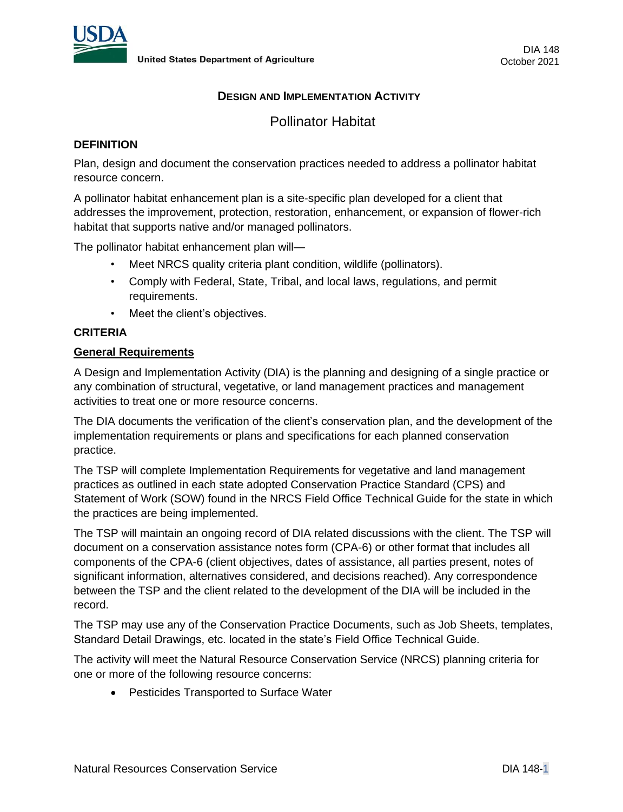

# **DESIGN AND IMPLEMENTATION ACTIVITY**

Pollinator Habitat

### **DEFINITION**

Plan, design and document the conservation practices needed to address a pollinator habitat resource concern.

A pollinator habitat enhancement plan is a site-specific plan developed for a client that addresses the improvement, protection, restoration, enhancement, or expansion of flower-rich habitat that supports native and/or managed pollinators.

The pollinator habitat enhancement plan will—

- Meet NRCS quality criteria plant condition, wildlife (pollinators).
- Comply with Federal, State, Tribal, and local laws, regulations, and permit requirements.
- Meet the client's objectives.

# **CRITERIA**

#### **General Requirements**

A Design and Implementation Activity (DIA) is the planning and designing of a single practice or any combination of structural, vegetative, or land management practices and management activities to treat one or more resource concerns.

The DIA documents the verification of the client's conservation plan, and the development of the implementation requirements or plans and specifications for each planned conservation practice.

The TSP will complete Implementation Requirements for vegetative and land management practices as outlined in each state adopted Conservation Practice Standard (CPS) and Statement of Work (SOW) found in the NRCS Field Office Technical Guide for the state in which the practices are being implemented.

The TSP will maintain an ongoing record of DIA related discussions with the client. The TSP will document on a conservation assistance notes form (CPA-6) or other format that includes all components of the CPA-6 (client objectives, dates of assistance, all parties present, notes of significant information, alternatives considered, and decisions reached). Any correspondence between the TSP and the client related to the development of the DIA will be included in the record.

The TSP may use any of the Conservation Practice Documents, such as Job Sheets, templates, Standard Detail Drawings, etc. located in the state's Field Office Technical Guide.

The activity will meet the Natural Resource Conservation Service (NRCS) planning criteria for one or more of the following resource concerns:

• Pesticides Transported to Surface Water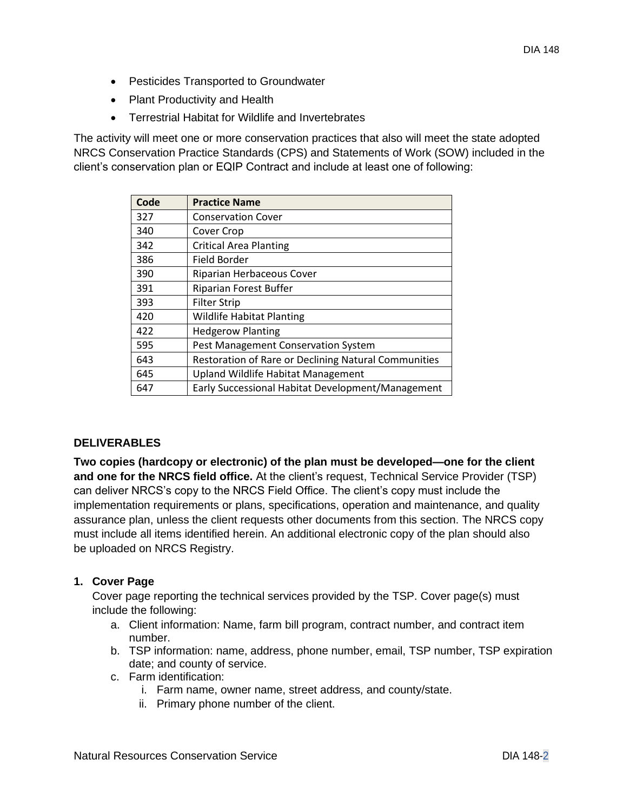- Pesticides Transported to Groundwater
- Plant Productivity and Health
- Terrestrial Habitat for Wildlife and Invertebrates

The activity will meet one or more conservation practices that also will meet the state adopted NRCS Conservation Practice Standards (CPS) and Statements of Work (SOW) included in the client's conservation plan or EQIP Contract and include at least one of following:

| Code | <b>Practice Name</b>                                 |
|------|------------------------------------------------------|
| 327  | <b>Conservation Cover</b>                            |
| 340  | Cover Crop                                           |
| 342  | <b>Critical Area Planting</b>                        |
| 386  | Field Border                                         |
| 390  | Riparian Herbaceous Cover                            |
| 391  | Riparian Forest Buffer                               |
| 393  | <b>Filter Strip</b>                                  |
| 420  | <b>Wildlife Habitat Planting</b>                     |
| 422  | <b>Hedgerow Planting</b>                             |
| 595  | Pest Management Conservation System                  |
| 643  | Restoration of Rare or Declining Natural Communities |
| 645  | <b>Upland Wildlife Habitat Management</b>            |
| 647  | Early Successional Habitat Development/Management    |

# **DELIVERABLES**

**Two copies (hardcopy or electronic) of the plan must be developed—one for the client and one for the NRCS field office.** At the client's request, Technical Service Provider (TSP) can deliver NRCS's copy to the NRCS Field Office. The client's copy must include the implementation requirements or plans, specifications, operation and maintenance, and quality assurance plan, unless the client requests other documents from this section. The NRCS copy must include all items identified herein. An additional electronic copy of the plan should also be uploaded on NRCS Registry.

# **1. Cover Page**

Cover page reporting the technical services provided by the TSP. Cover page(s) must include the following:

- a. Client information: Name, farm bill program, contract number, and contract item number.
- b. TSP information: name, address, phone number, email, TSP number, TSP expiration date; and county of service.
- c. Farm identification:
	- i. Farm name, owner name, street address, and county/state.
	- ii. Primary phone number of the client.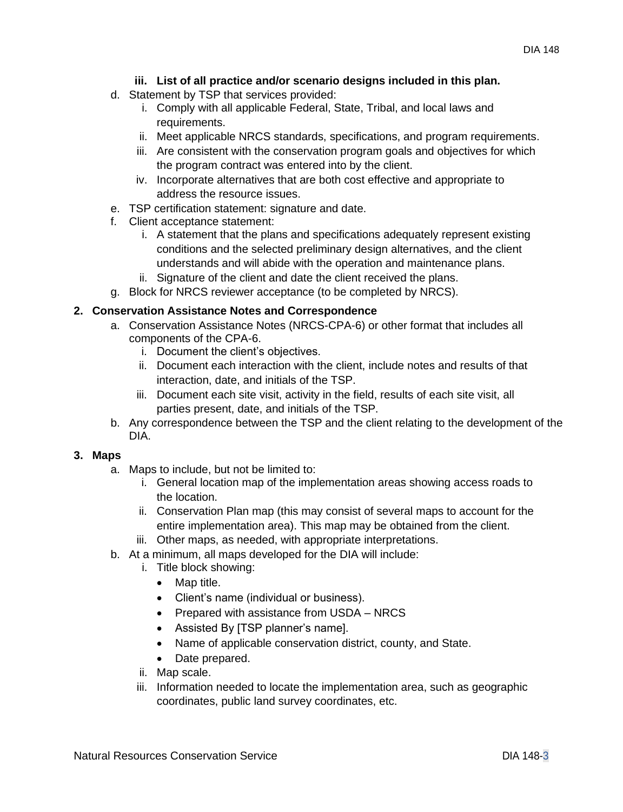# **iii. List of all practice and/or scenario designs included in this plan.**

- d. Statement by TSP that services provided:
	- i. Comply with all applicable Federal, State, Tribal, and local laws and requirements.
	- ii. Meet applicable NRCS standards, specifications, and program requirements.
	- iii. Are consistent with the conservation program goals and objectives for which the program contract was entered into by the client.
	- iv. Incorporate alternatives that are both cost effective and appropriate to address the resource issues.
- e. TSP certification statement: signature and date.
- f. Client acceptance statement:
	- i. A statement that the plans and specifications adequately represent existing conditions and the selected preliminary design alternatives, and the client understands and will abide with the operation and maintenance plans.
	- ii. Signature of the client and date the client received the plans.
- g. Block for NRCS reviewer acceptance (to be completed by NRCS).

# **2. Conservation Assistance Notes and Correspondence**

- a. Conservation Assistance Notes (NRCS-CPA-6) or other format that includes all components of the CPA-6.
	- i. Document the client's objectives.
	- ii. Document each interaction with the client, include notes and results of that interaction, date, and initials of the TSP.
	- iii. Document each site visit, activity in the field, results of each site visit, all parties present, date, and initials of the TSP.
- b. Any correspondence between the TSP and the client relating to the development of the DIA.

# **3. Maps**

- a. Maps to include, but not be limited to:
	- i. General location map of the implementation areas showing access roads to the location.
	- ii. Conservation Plan map (this may consist of several maps to account for the entire implementation area). This map may be obtained from the client.
	- iii. Other maps, as needed, with appropriate interpretations.
- b. At a minimum, all maps developed for the DIA will include:
	- i. Title block showing:
		- Map title.
		- Client's name (individual or business).
		- Prepared with assistance from USDA NRCS
		- Assisted By [TSP planner's name].
		- Name of applicable conservation district, county, and State.
		- Date prepared.
	- ii. Map scale.
	- iii. Information needed to locate the implementation area, such as geographic coordinates, public land survey coordinates, etc.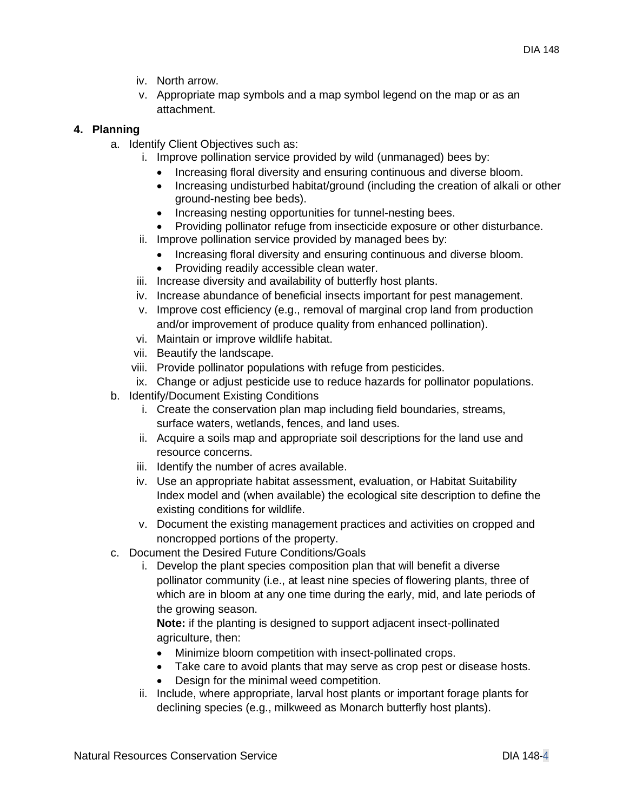- iv. North arrow.
- v. Appropriate map symbols and a map symbol legend on the map or as an attachment.

# **4. Planning**

- a. Identify Client Objectives such as:
	- i. Improve pollination service provided by wild (unmanaged) bees by:
		- Increasing floral diversity and ensuring continuous and diverse bloom.
		- Increasing undisturbed habitat/ground (including the creation of alkali or other ground-nesting bee beds).
		- Increasing nesting opportunities for tunnel-nesting bees.
		- Providing pollinator refuge from insecticide exposure or other disturbance.
	- ii. Improve pollination service provided by managed bees by:
		- Increasing floral diversity and ensuring continuous and diverse bloom.
		- Providing readily accessible clean water.
	- iii. Increase diversity and availability of butterfly host plants.
	- iv. Increase abundance of beneficial insects important for pest management.
	- v. Improve cost efficiency (e.g., removal of marginal crop land from production and/or improvement of produce quality from enhanced pollination).
	- vi. Maintain or improve wildlife habitat.
	- vii. Beautify the landscape.
	- viii. Provide pollinator populations with refuge from pesticides.
	- ix. Change or adjust pesticide use to reduce hazards for pollinator populations.
- b. Identify/Document Existing Conditions
	- i. Create the conservation plan map including field boundaries, streams, surface waters, wetlands, fences, and land uses.
	- ii. Acquire a soils map and appropriate soil descriptions for the land use and resource concerns.
	- iii. Identify the number of acres available.
	- iv. Use an appropriate habitat assessment, evaluation, or Habitat Suitability Index model and (when available) the ecological site description to define the existing conditions for wildlife.
	- v. Document the existing management practices and activities on cropped and noncropped portions of the property.
- c. Document the Desired Future Conditions/Goals
	- i. Develop the plant species composition plan that will benefit a diverse pollinator community (i.e., at least nine species of flowering plants, three of which are in bloom at any one time during the early, mid, and late periods of the growing season.

**Note:** if the planting is designed to support adjacent insect-pollinated agriculture, then:

- Minimize bloom competition with insect-pollinated crops.
- Take care to avoid plants that may serve as crop pest or disease hosts.
- Design for the minimal weed competition.
- ii. Include, where appropriate, larval host plants or important forage plants for declining species (e.g., milkweed as Monarch butterfly host plants).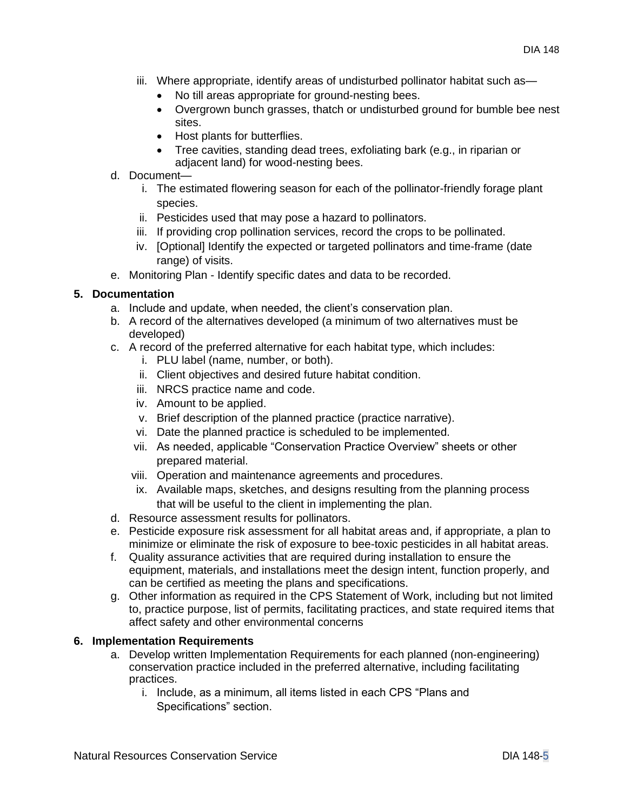- iii. Where appropriate, identify areas of undisturbed pollinator habitat such as—
	- No till areas appropriate for ground-nesting bees.
	- Overgrown bunch grasses, thatch or undisturbed ground for bumble bee nest sites.
	- Host plants for butterflies.
	- Tree cavities, standing dead trees, exfoliating bark (e.g., in riparian or adjacent land) for wood-nesting bees.

### d. Document—

- i. The estimated flowering season for each of the pollinator-friendly forage plant species.
- ii. Pesticides used that may pose a hazard to pollinators.
- iii. If providing crop pollination services, record the crops to be pollinated.
- iv. [Optional] Identify the expected or targeted pollinators and time-frame (date range) of visits.
- e. Monitoring Plan Identify specific dates and data to be recorded.

# **5. Documentation**

- a. Include and update, when needed, the client's conservation plan.
- b. A record of the alternatives developed (a minimum of two alternatives must be developed)
- c. A record of the preferred alternative for each habitat type, which includes:
	- i. PLU label (name, number, or both).
	- ii. Client objectives and desired future habitat condition.
	- iii. NRCS practice name and code.
	- iv. Amount to be applied.
	- v. Brief description of the planned practice (practice narrative).
	- vi. Date the planned practice is scheduled to be implemented.
	- vii. As needed, applicable "Conservation Practice Overview" sheets or other prepared material.
	- viii. Operation and maintenance agreements and procedures.
	- ix. Available maps, sketches, and designs resulting from the planning process that will be useful to the client in implementing the plan.
- d. Resource assessment results for pollinators.
- e. Pesticide exposure risk assessment for all habitat areas and, if appropriate, a plan to minimize or eliminate the risk of exposure to bee-toxic pesticides in all habitat areas.
- f. Quality assurance activities that are required during installation to ensure the equipment, materials, and installations meet the design intent, function properly, and can be certified as meeting the plans and specifications.
- g. Other information as required in the CPS Statement of Work, including but not limited to, practice purpose, list of permits, facilitating practices, and state required items that affect safety and other environmental concerns

#### **6. Implementation Requirements**

- a. Develop written Implementation Requirements for each planned (non-engineering) conservation practice included in the preferred alternative, including facilitating practices.
	- i. Include, as a minimum, all items listed in each CPS "Plans and Specifications" section.